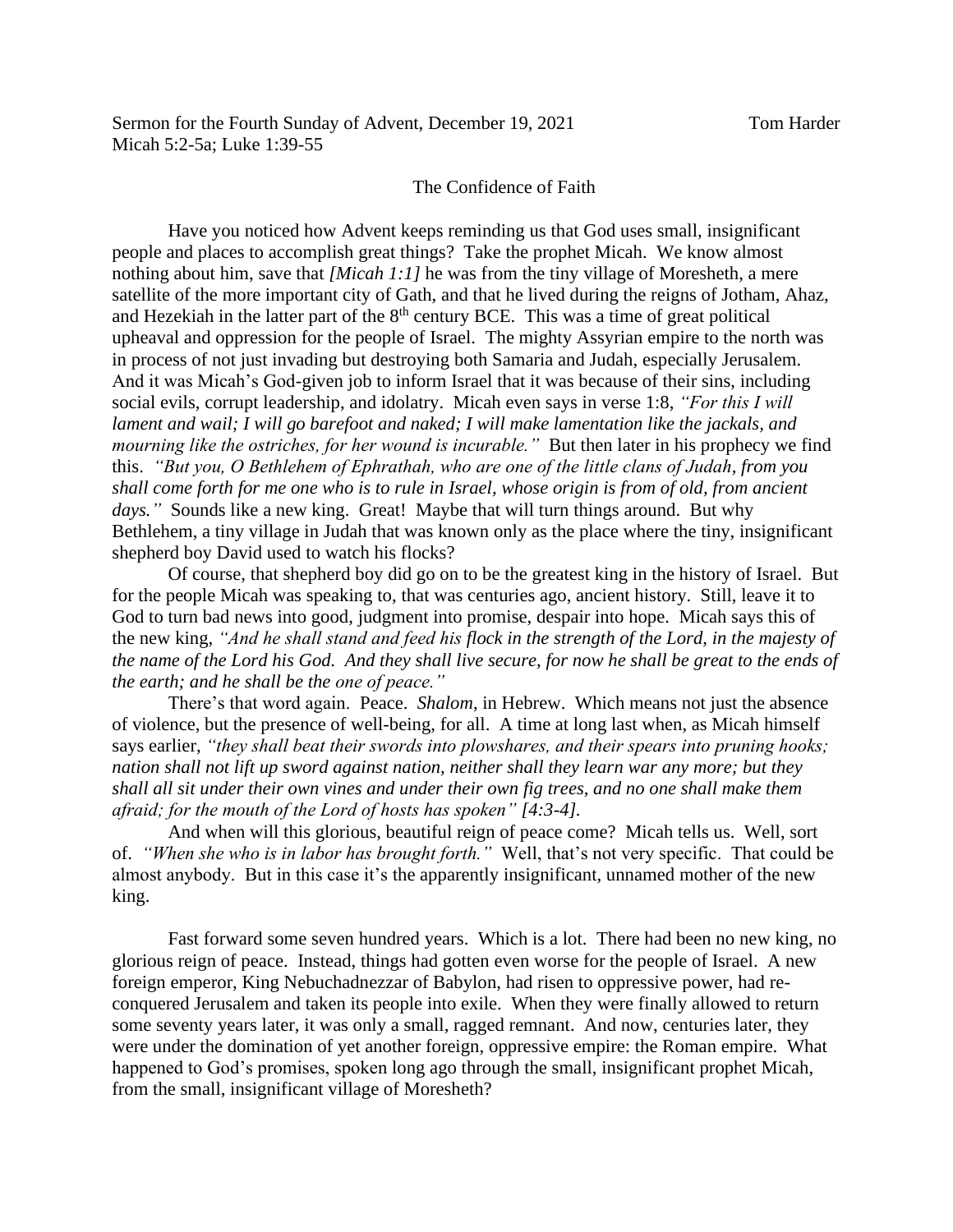## The Confidence of Faith

Have you noticed how Advent keeps reminding us that God uses small, insignificant people and places to accomplish great things? Take the prophet Micah. We know almost nothing about him, save that *[Micah 1:1]* he was from the tiny village of Moresheth, a mere satellite of the more important city of Gath, and that he lived during the reigns of Jotham, Ahaz, and Hezekiah in the latter part of the  $8<sup>th</sup>$  century BCE. This was a time of great political upheaval and oppression for the people of Israel. The mighty Assyrian empire to the north was in process of not just invading but destroying both Samaria and Judah, especially Jerusalem. And it was Micah's God-given job to inform Israel that it was because of their sins, including social evils, corrupt leadership, and idolatry. Micah even says in verse 1:8, *"For this I will lament and wail; I will go barefoot and naked; I will make lamentation like the jackals, and mourning like the ostriches, for her wound is incurable."* But then later in his prophecy we find this. *"But you, O Bethlehem of Ephrathah, who are one of the little clans of Judah, from you shall come forth for me one who is to rule in Israel, whose origin is from of old, from ancient*  days." Sounds like a new king. Great! Maybe that will turn things around. But why Bethlehem, a tiny village in Judah that was known only as the place where the tiny, insignificant shepherd boy David used to watch his flocks?

Of course, that shepherd boy did go on to be the greatest king in the history of Israel. But for the people Micah was speaking to, that was centuries ago, ancient history. Still, leave it to God to turn bad news into good, judgment into promise, despair into hope. Micah says this of the new king, *"And he shall stand and feed his flock in the strength of the Lord, in the majesty of the name of the Lord his God. And they shall live secure, for now he shall be great to the ends of the earth; and he shall be the one of peace."*

There's that word again. Peace. *Shalom*, in Hebrew. Which means not just the absence of violence, but the presence of well-being, for all. A time at long last when, as Micah himself says earlier, *"they shall beat their swords into plowshares, and their spears into pruning hooks; nation shall not lift up sword against nation, neither shall they learn war any more; but they shall all sit under their own vines and under their own fig trees, and no one shall make them afraid; for the mouth of the Lord of hosts has spoken" [4:3-4].*

And when will this glorious, beautiful reign of peace come? Micah tells us. Well, sort of. *"When she who is in labor has brought forth."* Well, that's not very specific. That could be almost anybody. But in this case it's the apparently insignificant, unnamed mother of the new king.

Fast forward some seven hundred years. Which is a lot. There had been no new king, no glorious reign of peace. Instead, things had gotten even worse for the people of Israel. A new foreign emperor, King Nebuchadnezzar of Babylon, had risen to oppressive power, had reconquered Jerusalem and taken its people into exile. When they were finally allowed to return some seventy years later, it was only a small, ragged remnant. And now, centuries later, they were under the domination of yet another foreign, oppressive empire: the Roman empire. What happened to God's promises, spoken long ago through the small, insignificant prophet Micah, from the small, insignificant village of Moresheth?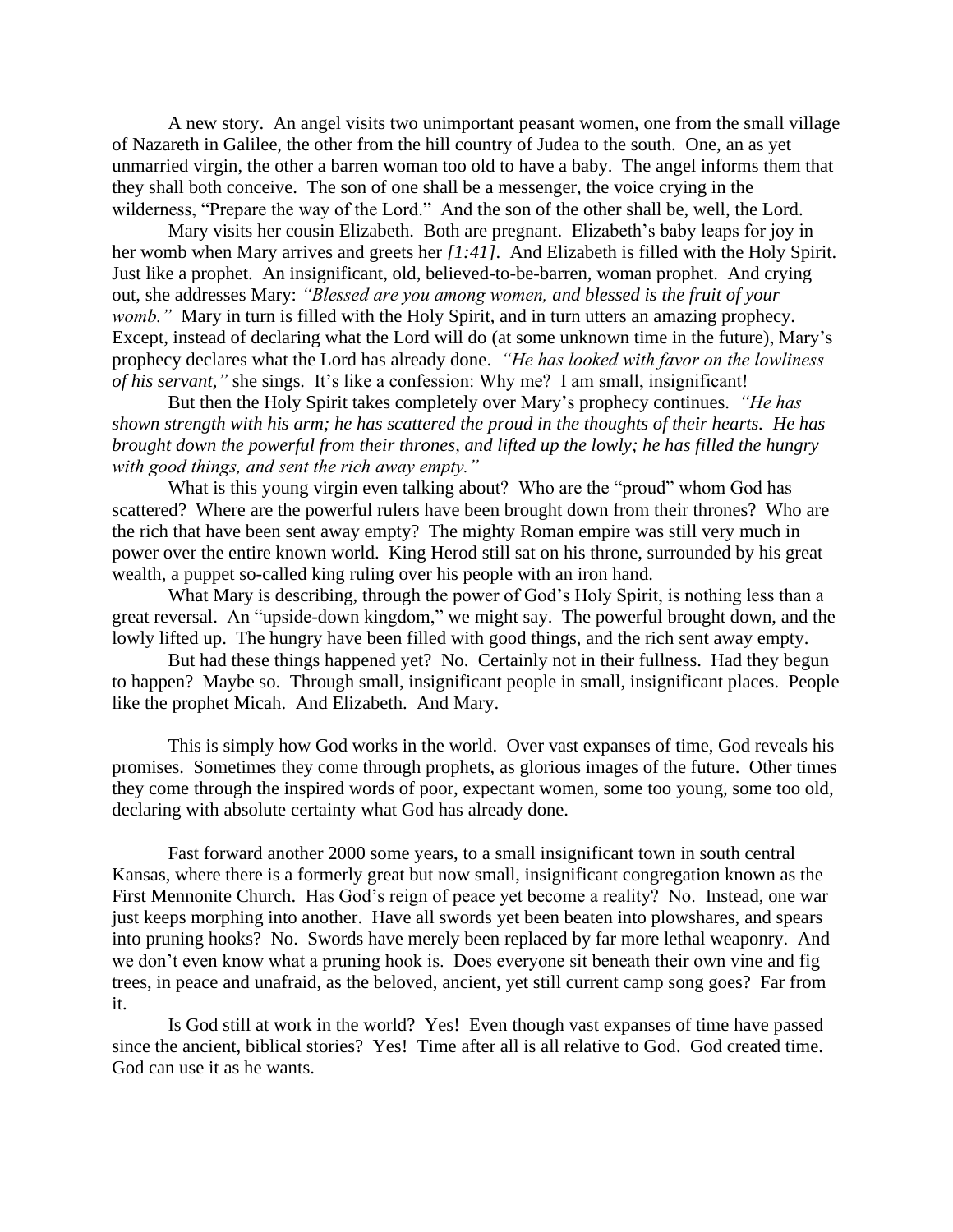A new story. An angel visits two unimportant peasant women, one from the small village of Nazareth in Galilee, the other from the hill country of Judea to the south. One, an as yet unmarried virgin, the other a barren woman too old to have a baby. The angel informs them that they shall both conceive. The son of one shall be a messenger, the voice crying in the wilderness, "Prepare the way of the Lord." And the son of the other shall be, well, the Lord.

Mary visits her cousin Elizabeth. Both are pregnant. Elizabeth's baby leaps for joy in her womb when Mary arrives and greets her *[1:41]*. And Elizabeth is filled with the Holy Spirit. Just like a prophet. An insignificant, old, believed-to-be-barren, woman prophet. And crying out, she addresses Mary: *"Blessed are you among women, and blessed is the fruit of your womb.*" Mary in turn is filled with the Holy Spirit, and in turn utters an amazing prophecy. Except, instead of declaring what the Lord will do (at some unknown time in the future), Mary's prophecy declares what the Lord has already done. *"He has looked with favor on the lowliness of his servant,"* she sings. It's like a confession: Why me? I am small, insignificant!

But then the Holy Spirit takes completely over Mary's prophecy continues. *"He has shown strength with his arm; he has scattered the proud in the thoughts of their hearts. He has brought down the powerful from their thrones, and lifted up the lowly; he has filled the hungry with good things, and sent the rich away empty."*

What is this young virgin even talking about? Who are the "proud" whom God has scattered? Where are the powerful rulers have been brought down from their thrones? Who are the rich that have been sent away empty? The mighty Roman empire was still very much in power over the entire known world. King Herod still sat on his throne, surrounded by his great wealth, a puppet so-called king ruling over his people with an iron hand.

What Mary is describing, through the power of God's Holy Spirit, is nothing less than a great reversal. An "upside-down kingdom," we might say. The powerful brought down, and the lowly lifted up. The hungry have been filled with good things, and the rich sent away empty.

But had these things happened yet? No. Certainly not in their fullness. Had they begun to happen? Maybe so. Through small, insignificant people in small, insignificant places. People like the prophet Micah. And Elizabeth. And Mary.

This is simply how God works in the world. Over vast expanses of time, God reveals his promises. Sometimes they come through prophets, as glorious images of the future. Other times they come through the inspired words of poor, expectant women, some too young, some too old, declaring with absolute certainty what God has already done.

Fast forward another 2000 some years, to a small insignificant town in south central Kansas, where there is a formerly great but now small, insignificant congregation known as the First Mennonite Church. Has God's reign of peace yet become a reality? No. Instead, one war just keeps morphing into another. Have all swords yet been beaten into plowshares, and spears into pruning hooks? No. Swords have merely been replaced by far more lethal weaponry. And we don't even know what a pruning hook is. Does everyone sit beneath their own vine and fig trees, in peace and unafraid, as the beloved, ancient, yet still current camp song goes? Far from it.

Is God still at work in the world? Yes! Even though vast expanses of time have passed since the ancient, biblical stories? Yes! Time after all is all relative to God. God created time. God can use it as he wants.